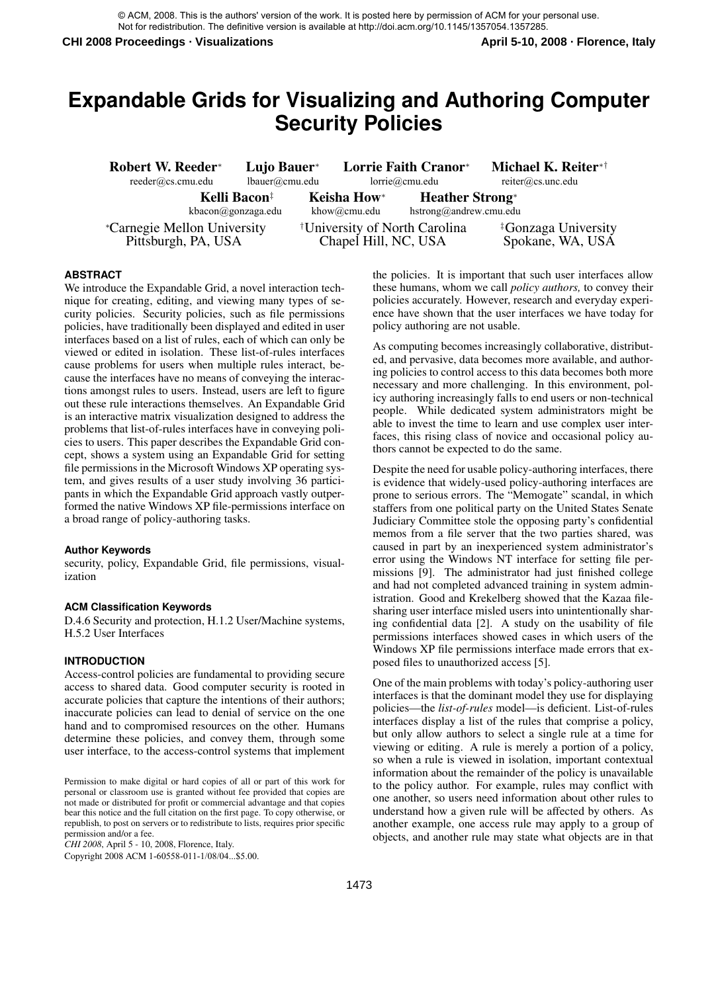© ACM, 2008. This is the authors' version of the work. It is posted here by permission of ACM for your personal use. Not for redistribution. The definitive version is available at http://doi.acm.org/10.1145/1357054.1357285.

**CHI 2008 Proceedings · Visualizations April 5-10, 2008 · Florence, Italy**

# **Expandable Grids for Visualizing and Authoring Computer Security Policies**

| Robert W. Reeder*<br>reeder@cs.cmu.edu                    | Lujo Bauer*<br>lbauer@cmu.edu |  |                             | Lorrie Faith Cranor*<br>lorrie@cmu.edu           | Michael K. Reiter*†<br>$reiter@cs.$ unc.edu         |  |
|-----------------------------------------------------------|-------------------------------|--|-----------------------------|--------------------------------------------------|-----------------------------------------------------|--|
| Kelli Bacon <sup>‡</sup><br>kbacon@gonzaga.edu            |                               |  | Keisha How*<br>khow@cmu.edu | <b>Heather Strong*</b><br>hstrong@andrew.cmu.edu |                                                     |  |
| <i>*Carnegie Mellon University</i><br>Pittsburgh, PA, USA |                               |  | Chapel Hill, NC, USA        | <sup>†</sup> University of North Carolina        | <sup>‡</sup> Gonzaga University<br>Spokane, WA, USA |  |

#### **ABSTRACT**

We introduce the Expandable Grid, a novel interaction technique for creating, editing, and viewing many types of security policies. Security policies, such as file permissions policies, have traditionally been displayed and edited in user interfaces based on a list of rules, each of which can only be viewed or edited in isolation. These list-of-rules interfaces cause problems for users when multiple rules interact, because the interfaces have no means of conveying the interactions amongst rules to users. Instead, users are left to figure out these rule interactions themselves. An Expandable Grid is an interactive matrix visualization designed to address the problems that list-of-rules interfaces have in conveying policies to users. This paper describes the Expandable Grid concept, shows a system using an Expandable Grid for setting file permissions in the Microsoft Windows XP operating system, and gives results of a user study involving 36 participants in which the Expandable Grid approach vastly outperformed the native Windows XP file-permissions interface on a broad range of policy-authoring tasks.

#### **Author Keywords**

security, policy, Expandable Grid, file permissions, visualization

#### **ACM Classification Keywords**

D.4.6 Security and protection, H.1.2 User/Machine systems, H.5.2 User Interfaces

#### **INTRODUCTION**

Access-control policies are fundamental to providing secure access to shared data. Good computer security is rooted in accurate policies that capture the intentions of their authors; inaccurate policies can lead to denial of service on the one hand and to compromised resources on the other. Humans determine these policies, and convey them, through some user interface, to the access-control systems that implement

*CHI 2008*, April 5 - 10, 2008, Florence, Italy.

Copyright 2008 ACM 1-60558-011-1/08/04...\$5.00.

the policies. It is important that such user interfaces allow these humans, whom we call *policy authors,* to convey their policies accurately. However, research and everyday experience have shown that the user interfaces we have today for policy authoring are not usable.

As computing becomes increasingly collaborative, distributed, and pervasive, data becomes more available, and authoring policies to control access to this data becomes both more necessary and more challenging. In this environment, policy authoring increasingly falls to end users or non-technical people. While dedicated system administrators might be able to invest the time to learn and use complex user interfaces, this rising class of novice and occasional policy authors cannot be expected to do the same.

Despite the need for usable policy-authoring interfaces, there is evidence that widely-used policy-authoring interfaces are prone to serious errors. The "Memogate" scandal, in which staffers from one political party on the United States Senate Judiciary Committee stole the opposing party's confidential memos from a file server that the two parties shared, was caused in part by an inexperienced system administrator's error using the Windows NT interface for setting file permissions [9]. The administrator had just finished college and had not completed advanced training in system administration. Good and Krekelberg showed that the Kazaa filesharing user interface misled users into unintentionally sharing confidential data [2]. A study on the usability of file permissions interfaces showed cases in which users of the Windows XP file permissions interface made errors that exposed files to unauthorized access [5].

One of the main problems with today's policy-authoring user interfaces is that the dominant model they use for displaying policies—the *list-of-rules* model—is deficient. List-of-rules interfaces display a list of the rules that comprise a policy, but only allow authors to select a single rule at a time for viewing or editing. A rule is merely a portion of a policy, so when a rule is viewed in isolation, important contextual information about the remainder of the policy is unavailable to the policy author. For example, rules may conflict with one another, so users need information about other rules to understand how a given rule will be affected by others. As another example, one access rule may apply to a group of objects, and another rule may state what objects are in that

Permission to make digital or hard copies of all or part of this work for personal or classroom use is granted without fee provided that copies are not made or distributed for profit or commercial advantage and that copies bear this notice and the full citation on the first page. To copy otherwise, or republish, to post on servers or to redistribute to lists, requires prior specific permission and/or a fee.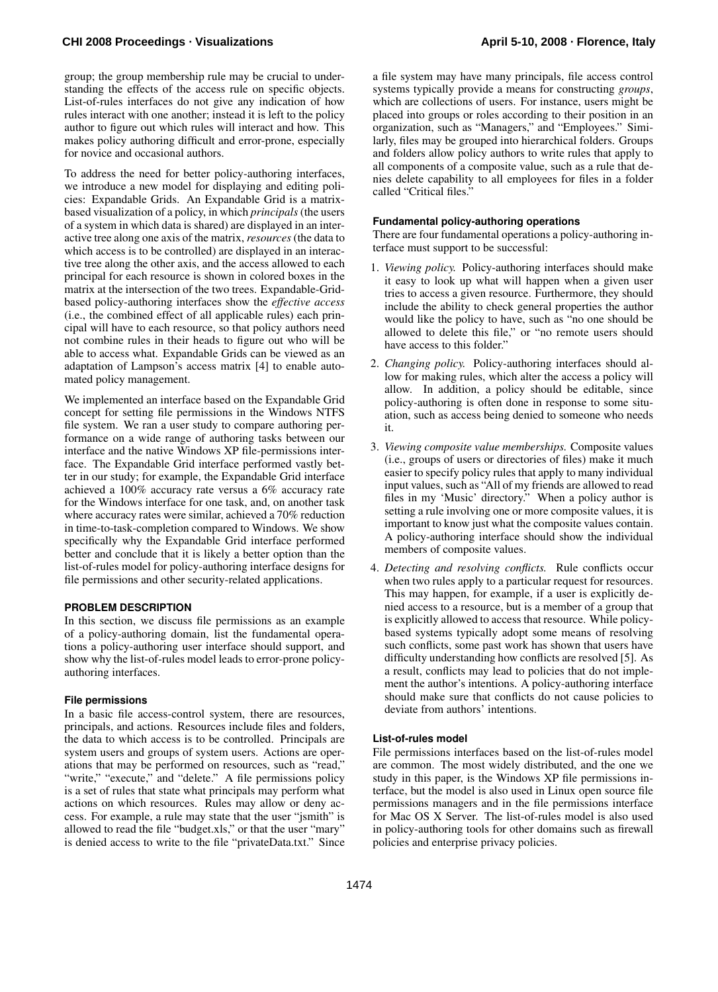group; the group membership rule may be crucial to understanding the effects of the access rule on specific objects. List-of-rules interfaces do not give any indication of how rules interact with one another; instead it is left to the policy author to figure out which rules will interact and how. This makes policy authoring difficult and error-prone, especially for novice and occasional authors.

To address the need for better policy-authoring interfaces, we introduce a new model for displaying and editing policies: Expandable Grids. An Expandable Grid is a matrixbased visualization of a policy, in which *principals* (the users of a system in which data is shared) are displayed in an interactive tree along one axis of the matrix, *resources*(the data to which access is to be controlled) are displayed in an interactive tree along the other axis, and the access allowed to each principal for each resource is shown in colored boxes in the matrix at the intersection of the two trees. Expandable-Gridbased policy-authoring interfaces show the *effective access* (i.e., the combined effect of all applicable rules) each principal will have to each resource, so that policy authors need not combine rules in their heads to figure out who will be able to access what. Expandable Grids can be viewed as an adaptation of Lampson's access matrix [4] to enable automated policy management.

We implemented an interface based on the Expandable Grid concept for setting file permissions in the Windows NTFS file system. We ran a user study to compare authoring performance on a wide range of authoring tasks between our interface and the native Windows XP file-permissions interface. The Expandable Grid interface performed vastly better in our study; for example, the Expandable Grid interface achieved a 100% accuracy rate versus a 6% accuracy rate for the Windows interface for one task, and, on another task where accuracy rates were similar, achieved a 70% reduction in time-to-task-completion compared to Windows. We show specifically why the Expandable Grid interface performed better and conclude that it is likely a better option than the list-of-rules model for policy-authoring interface designs for file permissions and other security-related applications.

## **PROBLEM DESCRIPTION**

In this section, we discuss file permissions as an example of a policy-authoring domain, list the fundamental operations a policy-authoring user interface should support, and show why the list-of-rules model leads to error-prone policyauthoring interfaces.

## **File permissions**

In a basic file access-control system, there are resources, principals, and actions. Resources include files and folders, the data to which access is to be controlled. Principals are system users and groups of system users. Actions are operations that may be performed on resources, such as "read," "write," "execute," and "delete." A file permissions policy is a set of rules that state what principals may perform what actions on which resources. Rules may allow or deny access. For example, a rule may state that the user "jsmith" is allowed to read the file "budget.xls," or that the user "mary" is denied access to write to the file "privateData.txt." Since a file system may have many principals, file access control systems typically provide a means for constructing *groups*, which are collections of users. For instance, users might be placed into groups or roles according to their position in an organization, such as "Managers," and "Employees." Similarly, files may be grouped into hierarchical folders. Groups and folders allow policy authors to write rules that apply to all components of a composite value, such as a rule that denies delete capability to all employees for files in a folder called "Critical files."

# **Fundamental policy-authoring operations**

There are four fundamental operations a policy-authoring interface must support to be successful:

- 1. *Viewing policy.* Policy-authoring interfaces should make it easy to look up what will happen when a given user tries to access a given resource. Furthermore, they should include the ability to check general properties the author would like the policy to have, such as "no one should be allowed to delete this file," or "no remote users should have access to this folder."
- 2. *Changing policy.* Policy-authoring interfaces should allow for making rules, which alter the access a policy will allow. In addition, a policy should be editable, since policy-authoring is often done in response to some situation, such as access being denied to someone who needs it.
- 3. *Viewing composite value memberships.* Composite values (i.e., groups of users or directories of files) make it much easier to specify policy rules that apply to many individual input values, such as "All of my friends are allowed to read files in my 'Music' directory." When a policy author is setting a rule involving one or more composite values, it is important to know just what the composite values contain. A policy-authoring interface should show the individual members of composite values.
- 4. *Detecting and resolving conflicts.* Rule conflicts occur when two rules apply to a particular request for resources. This may happen, for example, if a user is explicitly denied access to a resource, but is a member of a group that is explicitly allowed to access that resource. While policybased systems typically adopt some means of resolving such conflicts, some past work has shown that users have difficulty understanding how conflicts are resolved [5]. As a result, conflicts may lead to policies that do not implement the author's intentions. A policy-authoring interface should make sure that conflicts do not cause policies to deviate from authors' intentions.

## **List-of-rules model**

File permissions interfaces based on the list-of-rules model are common. The most widely distributed, and the one we study in this paper, is the Windows XP file permissions interface, but the model is also used in Linux open source file permissions managers and in the file permissions interface for Mac OS X Server. The list-of-rules model is also used in policy-authoring tools for other domains such as firewall policies and enterprise privacy policies.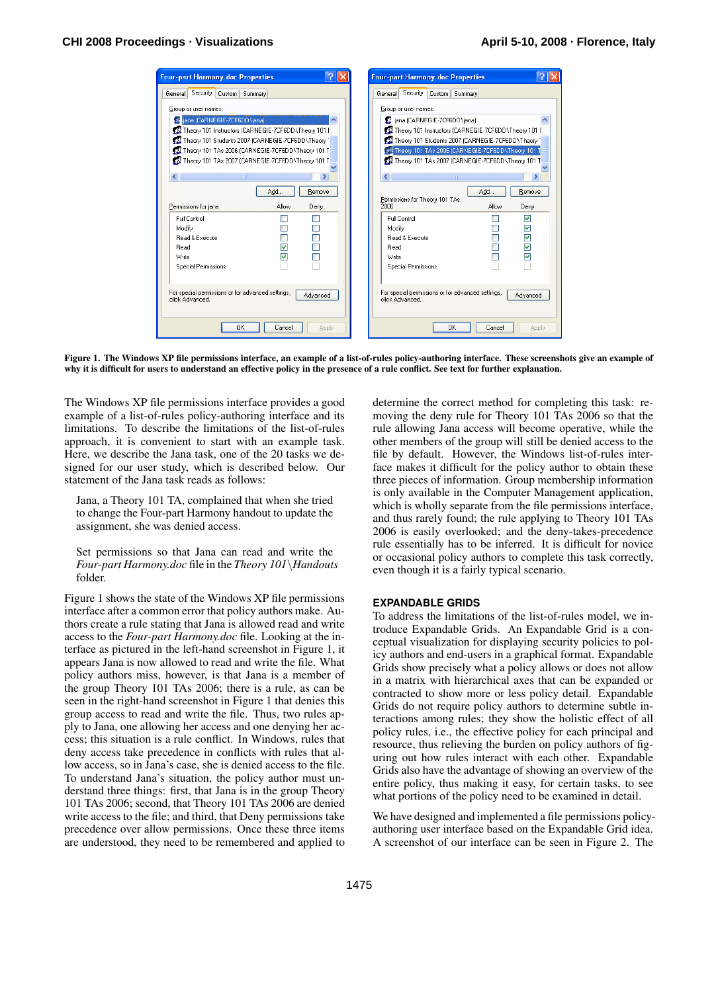| <b>Four-part Harmony.doc Properties</b>                                         | <b>Four-part Harmony.doc Properties</b>                                          |  |  |  |  |
|---------------------------------------------------------------------------------|----------------------------------------------------------------------------------|--|--|--|--|
| Security<br>Custom Summary<br>General                                           | Security<br>Custom Summary<br>General                                            |  |  |  |  |
| Group or user names:                                                            | Group or user names:                                                             |  |  |  |  |
| <b>K</b> iana (CARNEGIE-7CF6DD\jana)                                            | d jana (CARNEGIE-7CF6DD\jana)                                                    |  |  |  |  |
| Theory 101 Instructors (CARNEGIE-7CF6DD\Theory 101 I                            | THeory 101 Instructors (CARNEGIE-7CF6DD\Theory 101                               |  |  |  |  |
| 32 Theory 101 Students 2007 (CARNEGIE-7CF6DD\Theory 1                           | 12 Theory 101 Students 2007 (CARNEGIE-7CF6DD\Theory 1                            |  |  |  |  |
| 101 Theory 101 TAs 2006 (CARNEGIE-7CF6DD\Theory 101 T                           | of Theory 101 TAs 2006 (CARNEGIE-7CF6DD\Theory 101 T                             |  |  |  |  |
| 101 Theory 101 TAs 2007 (CARNEGIE-7CF6DD\Theory 101 T                           | Theory 101 TAs 2007 (CARNEGIE-7CF6DD\Theory 101 1                                |  |  |  |  |
|                                                                                 |                                                                                  |  |  |  |  |
| $\left\langle \right\rangle$<br><b>TIT</b>                                      | ∢<br><b>IIII</b>                                                                 |  |  |  |  |
| Remove<br>Add                                                                   | Add<br>Remove                                                                    |  |  |  |  |
| Permissions for jana<br>Allow<br>Deny                                           | Permissions for Theory 101 TAs<br>2006<br>Allow<br>Denv                          |  |  |  |  |
|                                                                                 |                                                                                  |  |  |  |  |
| Full Control                                                                    | ⊽<br>Full Control                                                                |  |  |  |  |
| Modify<br>П<br><b>Bead &amp; Execute</b>                                        | ☑<br>Modify<br>☑<br>Read & Execute                                               |  |  |  |  |
| ☑<br>Read                                                                       | ⊽<br>Read                                                                        |  |  |  |  |
| ☑<br>Write                                                                      | ☑<br>Write                                                                       |  |  |  |  |
| <b>Special Permissions</b>                                                      | <b>Special Permissions</b>                                                       |  |  |  |  |
|                                                                                 |                                                                                  |  |  |  |  |
|                                                                                 |                                                                                  |  |  |  |  |
| For special permissions or for advanced settings,<br>Advanced<br>click Advanced | For special permissions or for advanced settings,<br>Advanced<br>click Advanced. |  |  |  |  |
|                                                                                 |                                                                                  |  |  |  |  |
|                                                                                 |                                                                                  |  |  |  |  |
| 0K<br>Cancel<br>Apply                                                           | <b>OK</b><br>Cancel<br>Apply                                                     |  |  |  |  |
|                                                                                 |                                                                                  |  |  |  |  |

Figure 1. The Windows XP file permissions interface, an example of a list-of-rules policy-authoring interface. These screenshots give an example of why it is difficult for users to understand an effective policy in the presence of a rule conflict. See text for further explanation.

The Windows XP file permissions interface provides a good example of a list-of-rules policy-authoring interface and its limitations. To describe the limitations of the list-of-rules approach, it is convenient to start with an example task. Here, we describe the Jana task, one of the 20 tasks we designed for our user study, which is described below. Our statement of the Jana task reads as follows:

Jana, a Theory 101 TA, complained that when she tried to change the Four-part Harmony handout to update the assignment, she was denied access.

Set permissions so that Jana can read and write the *Four-part Harmony.doc* file in the *Theory 101*\*Handouts* folder.

Figure 1 shows the state of the Windows XP file permissions interface after a common error that policy authors make. Authors create a rule stating that Jana is allowed read and write access to the *Four-part Harmony.doc* file. Looking at the interface as pictured in the left-hand screenshot in Figure 1, it appears Jana is now allowed to read and write the file. What policy authors miss, however, is that Jana is a member of the group Theory 101 TAs 2006; there is a rule, as can be seen in the right-hand screenshot in Figure 1 that denies this group access to read and write the file. Thus, two rules apply to Jana, one allowing her access and one denying her access; this situation is a rule conflict. In Windows, rules that deny access take precedence in conflicts with rules that allow access, so in Jana's case, she is denied access to the file. To understand Jana's situation, the policy author must understand three things: first, that Jana is in the group Theory 101 TAs 2006; second, that Theory 101 TAs 2006 are denied write access to the file; and third, that Deny permissions take precedence over allow permissions. Once these three items are understood, they need to be remembered and applied to

determine the correct method for completing this task: removing the deny rule for Theory 101 TAs 2006 so that the rule allowing Jana access will become operative, while the other members of the group will still be denied access to the file by default. However, the Windows list-of-rules interface makes it difficult for the policy author to obtain these three pieces of information. Group membership information is only available in the Computer Management application, which is wholly separate from the file permissions interface, and thus rarely found; the rule applying to Theory 101 TAs 2006 is easily overlooked; and the deny-takes-precedence rule essentially has to be inferred. It is difficult for novice or occasional policy authors to complete this task correctly, even though it is a fairly typical scenario.

## **EXPANDABLE GRIDS**

To address the limitations of the list-of-rules model, we introduce Expandable Grids. An Expandable Grid is a conceptual visualization for displaying security policies to policy authors and end-users in a graphical format. Expandable Grids show precisely what a policy allows or does not allow in a matrix with hierarchical axes that can be expanded or contracted to show more or less policy detail. Expandable Grids do not require policy authors to determine subtle interactions among rules; they show the holistic effect of all policy rules, i.e., the effective policy for each principal and resource, thus relieving the burden on policy authors of figuring out how rules interact with each other. Expandable Grids also have the advantage of showing an overview of the entire policy, thus making it easy, for certain tasks, to see what portions of the policy need to be examined in detail.

We have designed and implemented a file permissions policyauthoring user interface based on the Expandable Grid idea. A screenshot of our interface can be seen in Figure 2. The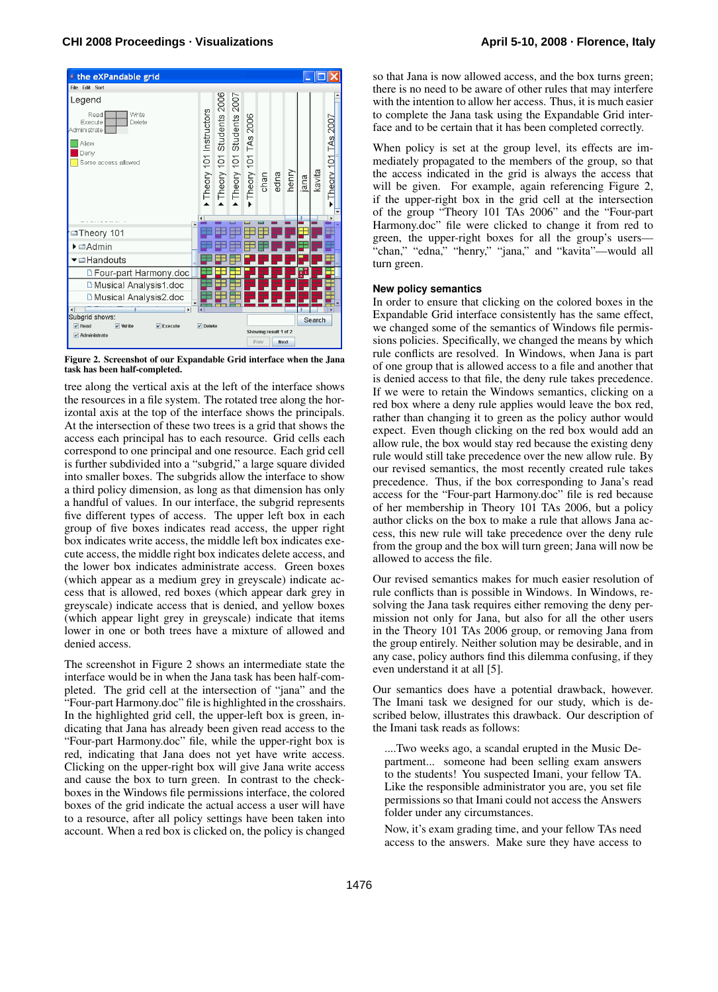

Figure 2. Screenshot of our Expandable Grid interface when the Jana task has been half-completed.

tree along the vertical axis at the left of the interface shows the resources in a file system. The rotated tree along the horizontal axis at the top of the interface shows the principals. At the intersection of these two trees is a grid that shows the access each principal has to each resource. Grid cells each correspond to one principal and one resource. Each grid cell is further subdivided into a "subgrid," a large square divided into smaller boxes. The subgrids allow the interface to show a third policy dimension, as long as that dimension has only a handful of values. In our interface, the subgrid represents five different types of access. The upper left box in each group of five boxes indicates read access, the upper right box indicates write access, the middle left box indicates execute access, the middle right box indicates delete access, and the lower box indicates administrate access. Green boxes (which appear as a medium grey in greyscale) indicate access that is allowed, red boxes (which appear dark grey in greyscale) indicate access that is denied, and yellow boxes (which appear light grey in greyscale) indicate that items lower in one or both trees have a mixture of allowed and denied access.

The screenshot in Figure 2 shows an intermediate state the interface would be in when the Jana task has been half-completed. The grid cell at the intersection of "jana" and the "Four-part Harmony.doc" file is highlighted in the crosshairs. In the highlighted grid cell, the upper-left box is green, indicating that Jana has already been given read access to the "Four-part Harmony.doc" file, while the upper-right box is red, indicating that Jana does not yet have write access. Clicking on the upper-right box will give Jana write access and cause the box to turn green. In contrast to the checkboxes in the Windows file permissions interface, the colored boxes of the grid indicate the actual access a user will have to a resource, after all policy settings have been taken into account. When a red box is clicked on, the policy is changed

so that Jana is now allowed access, and the box turns green; there is no need to be aware of other rules that may interfere with the intention to allow her access. Thus, it is much easier to complete the Jana task using the Expandable Grid interface and to be certain that it has been completed correctly.

When policy is set at the group level, its effects are immediately propagated to the members of the group, so that the access indicated in the grid is always the access that will be given. For example, again referencing Figure 2, if the upper-right box in the grid cell at the intersection of the group "Theory 101 TAs 2006" and the "Four-part Harmony.doc" file were clicked to change it from red to green, the upper-right boxes for all the group's users— "chan," "edna," "henry," "jana," and "kavita"—would all turn green.

## **New policy semantics**

In order to ensure that clicking on the colored boxes in the Expandable Grid interface consistently has the same effect, we changed some of the semantics of Windows file permissions policies. Specifically, we changed the means by which rule conflicts are resolved. In Windows, when Jana is part of one group that is allowed access to a file and another that is denied access to that file, the deny rule takes precedence. If we were to retain the Windows semantics, clicking on a red box where a deny rule applies would leave the box red, rather than changing it to green as the policy author would expect. Even though clicking on the red box would add an allow rule, the box would stay red because the existing deny rule would still take precedence over the new allow rule. By our revised semantics, the most recently created rule takes precedence. Thus, if the box corresponding to Jana's read access for the "Four-part Harmony.doc" file is red because of her membership in Theory 101 TAs 2006, but a policy author clicks on the box to make a rule that allows Jana access, this new rule will take precedence over the deny rule from the group and the box will turn green; Jana will now be allowed to access the file.

Our revised semantics makes for much easier resolution of rule conflicts than is possible in Windows. In Windows, resolving the Jana task requires either removing the deny permission not only for Jana, but also for all the other users in the Theory 101 TAs 2006 group, or removing Jana from the group entirely. Neither solution may be desirable, and in any case, policy authors find this dilemma confusing, if they even understand it at all [5].

Our semantics does have a potential drawback, however. The Imani task we designed for our study, which is described below, illustrates this drawback. Our description of the Imani task reads as follows:

....Two weeks ago, a scandal erupted in the Music Department... someone had been selling exam answers to the students! You suspected Imani, your fellow TA. Like the responsible administrator you are, you set file permissions so that Imani could not access the Answers folder under any circumstances.

Now, it's exam grading time, and your fellow TAs need access to the answers. Make sure they have access to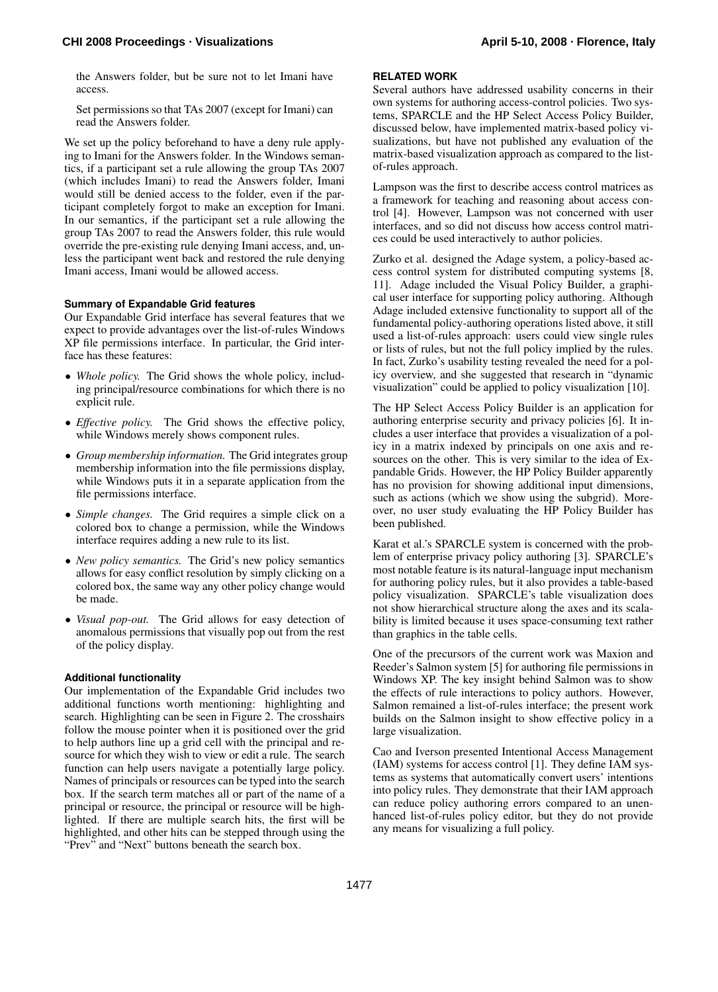# **CHI 2008 Proceedings · Visualizations April 5-10, 2008 · Florence, Italy**

the Answers folder, but be sure not to let Imani have access.

Set permissions so that TAs 2007 (except for Imani) can read the Answers folder.

We set up the policy beforehand to have a deny rule applying to Imani for the Answers folder. In the Windows semantics, if a participant set a rule allowing the group TAs 2007 (which includes Imani) to read the Answers folder, Imani would still be denied access to the folder, even if the participant completely forgot to make an exception for Imani. In our semantics, if the participant set a rule allowing the group TAs 2007 to read the Answers folder, this rule would override the pre-existing rule denying Imani access, and, unless the participant went back and restored the rule denying Imani access, Imani would be allowed access.

# **Summary of Expandable Grid features**

Our Expandable Grid interface has several features that we expect to provide advantages over the list-of-rules Windows XP file permissions interface. In particular, the Grid interface has these features:

- *Whole policy*. The Grid shows the whole policy, including principal/resource combinations for which there is no explicit rule.
- *Effective policy.* The Grid shows the effective policy, while Windows merely shows component rules.
- *Group membership information.* The Grid integrates group membership information into the file permissions display, while Windows puts it in a separate application from the file permissions interface.
- *Simple changes.* The Grid requires a simple click on a colored box to change a permission, while the Windows interface requires adding a new rule to its list.
- *New policy semantics.* The Grid's new policy semantics allows for easy conflict resolution by simply clicking on a colored box, the same way any other policy change would be made.
- *Visual pop-out.* The Grid allows for easy detection of anomalous permissions that visually pop out from the rest of the policy display.

## **Additional functionality**

Our implementation of the Expandable Grid includes two additional functions worth mentioning: highlighting and search. Highlighting can be seen in Figure 2. The crosshairs follow the mouse pointer when it is positioned over the grid to help authors line up a grid cell with the principal and resource for which they wish to view or edit a rule. The search function can help users navigate a potentially large policy. Names of principals or resources can be typed into the search box. If the search term matches all or part of the name of a principal or resource, the principal or resource will be highlighted. If there are multiple search hits, the first will be highlighted, and other hits can be stepped through using the "Prev" and "Next" buttons beneath the search box.

# **RELATED WORK**

Several authors have addressed usability concerns in their own systems for authoring access-control policies. Two systems, SPARCLE and the HP Select Access Policy Builder, discussed below, have implemented matrix-based policy visualizations, but have not published any evaluation of the matrix-based visualization approach as compared to the listof-rules approach.

Lampson was the first to describe access control matrices as a framework for teaching and reasoning about access control [4]. However, Lampson was not concerned with user interfaces, and so did not discuss how access control matrices could be used interactively to author policies.

Zurko et al. designed the Adage system, a policy-based access control system for distributed computing systems [8, 11]. Adage included the Visual Policy Builder, a graphical user interface for supporting policy authoring. Although Adage included extensive functionality to support all of the fundamental policy-authoring operations listed above, it still used a list-of-rules approach: users could view single rules or lists of rules, but not the full policy implied by the rules. In fact, Zurko's usability testing revealed the need for a policy overview, and she suggested that research in "dynamic visualization" could be applied to policy visualization [10].

The HP Select Access Policy Builder is an application for authoring enterprise security and privacy policies [6]. It includes a user interface that provides a visualization of a policy in a matrix indexed by principals on one axis and resources on the other. This is very similar to the idea of Expandable Grids. However, the HP Policy Builder apparently has no provision for showing additional input dimensions, such as actions (which we show using the subgrid). Moreover, no user study evaluating the HP Policy Builder has been published.

Karat et al.'s SPARCLE system is concerned with the problem of enterprise privacy policy authoring [3]. SPARCLE's most notable feature is its natural-language input mechanism for authoring policy rules, but it also provides a table-based policy visualization. SPARCLE's table visualization does not show hierarchical structure along the axes and its scalability is limited because it uses space-consuming text rather than graphics in the table cells.

One of the precursors of the current work was Maxion and Reeder's Salmon system [5] for authoring file permissions in Windows XP. The key insight behind Salmon was to show the effects of rule interactions to policy authors. However, Salmon remained a list-of-rules interface; the present work builds on the Salmon insight to show effective policy in a large visualization.

Cao and Iverson presented Intentional Access Management (IAM) systems for access control [1]. They define IAM systems as systems that automatically convert users' intentions into policy rules. They demonstrate that their IAM approach can reduce policy authoring errors compared to an unenhanced list-of-rules policy editor, but they do not provide any means for visualizing a full policy.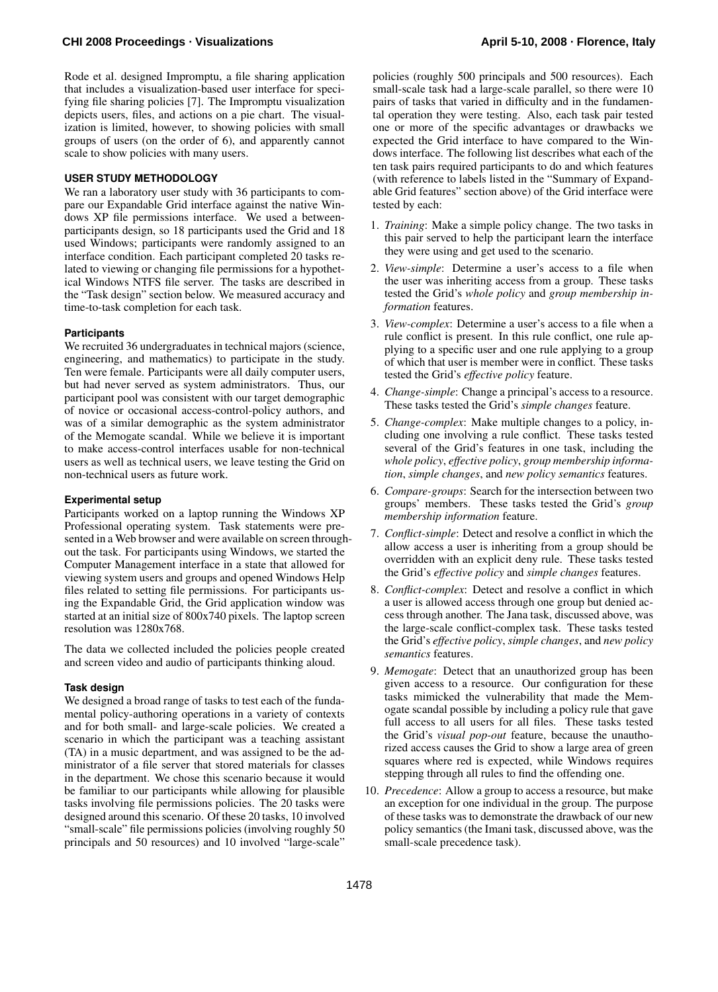Rode et al. designed Impromptu, a file sharing application that includes a visualization-based user interface for specifying file sharing policies [7]. The Impromptu visualization depicts users, files, and actions on a pie chart. The visualization is limited, however, to showing policies with small groups of users (on the order of 6), and apparently cannot scale to show policies with many users.

# **USER STUDY METHODOLOGY**

We ran a laboratory user study with 36 participants to compare our Expandable Grid interface against the native Windows XP file permissions interface. We used a betweenparticipants design, so 18 participants used the Grid and 18 used Windows; participants were randomly assigned to an interface condition. Each participant completed 20 tasks related to viewing or changing file permissions for a hypothetical Windows NTFS file server. The tasks are described in the "Task design" section below. We measured accuracy and time-to-task completion for each task.

# **Participants**

We recruited 36 undergraduates in technical majors (science, engineering, and mathematics) to participate in the study. Ten were female. Participants were all daily computer users, but had never served as system administrators. Thus, our participant pool was consistent with our target demographic of novice or occasional access-control-policy authors, and was of a similar demographic as the system administrator of the Memogate scandal. While we believe it is important to make access-control interfaces usable for non-technical users as well as technical users, we leave testing the Grid on non-technical users as future work.

# **Experimental setup**

Participants worked on a laptop running the Windows XP Professional operating system. Task statements were presented in a Web browser and were available on screen throughout the task. For participants using Windows, we started the Computer Management interface in a state that allowed for viewing system users and groups and opened Windows Help files related to setting file permissions. For participants using the Expandable Grid, the Grid application window was started at an initial size of 800x740 pixels. The laptop screen resolution was 1280x768.

The data we collected included the policies people created and screen video and audio of participants thinking aloud.

# **Task design**

We designed a broad range of tasks to test each of the fundamental policy-authoring operations in a variety of contexts and for both small- and large-scale policies. We created a scenario in which the participant was a teaching assistant (TA) in a music department, and was assigned to be the administrator of a file server that stored materials for classes in the department. We chose this scenario because it would be familiar to our participants while allowing for plausible tasks involving file permissions policies. The 20 tasks were designed around this scenario. Of these 20 tasks, 10 involved "small-scale" file permissions policies (involving roughly 50 principals and 50 resources) and 10 involved "large-scale"

policies (roughly 500 principals and 500 resources). Each small-scale task had a large-scale parallel, so there were 10 pairs of tasks that varied in difficulty and in the fundamental operation they were testing. Also, each task pair tested one or more of the specific advantages or drawbacks we expected the Grid interface to have compared to the Windows interface. The following list describes what each of the ten task pairs required participants to do and which features (with reference to labels listed in the "Summary of Expandable Grid features" section above) of the Grid interface were tested by each:

- 1. *Training*: Make a simple policy change. The two tasks in this pair served to help the participant learn the interface they were using and get used to the scenario.
- 2. *View-simple*: Determine a user's access to a file when the user was inheriting access from a group. These tasks tested the Grid's *whole policy* and *group membership information* features.
- 3. *View-complex*: Determine a user's access to a file when a rule conflict is present. In this rule conflict, one rule applying to a specific user and one rule applying to a group of which that user is member were in conflict. These tasks tested the Grid's *effective policy* feature.
- 4. *Change-simple*: Change a principal's access to a resource. These tasks tested the Grid's *simple changes* feature.
- 5. *Change-complex*: Make multiple changes to a policy, including one involving a rule conflict. These tasks tested several of the Grid's features in one task, including the *whole policy*, *effective policy*, *group membership information*, *simple changes*, and *new policy semantics* features.
- 6. *Compare-groups*: Search for the intersection between two groups' members. These tasks tested the Grid's *group membership information* feature.
- 7. *Conflict-simple*: Detect and resolve a conflict in which the allow access a user is inheriting from a group should be overridden with an explicit deny rule. These tasks tested the Grid's *effective policy* and *simple changes* features.
- 8. *Conflict-complex*: Detect and resolve a conflict in which a user is allowed access through one group but denied access through another. The Jana task, discussed above, was the large-scale conflict-complex task. These tasks tested the Grid's *effective policy*, *simple changes*, and *new policy semantics* features.
- 9. *Memogate*: Detect that an unauthorized group has been given access to a resource. Our configuration for these tasks mimicked the vulnerability that made the Memogate scandal possible by including a policy rule that gave full access to all users for all files. These tasks tested the Grid's *visual pop-out* feature, because the unauthorized access causes the Grid to show a large area of green squares where red is expected, while Windows requires stepping through all rules to find the offending one.
- 10. *Precedence*: Allow a group to access a resource, but make an exception for one individual in the group. The purpose of these tasks was to demonstrate the drawback of our new policy semantics (the Imani task, discussed above, was the small-scale precedence task).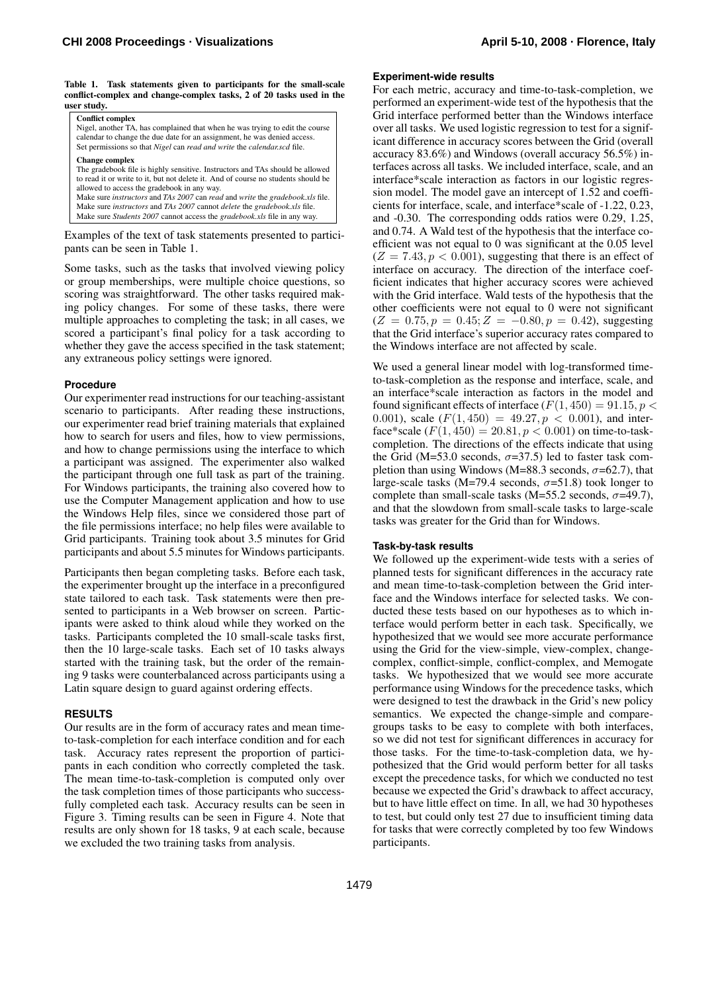Table 1. Task statements given to participants for the small-scale conflict-complex and change-complex tasks, 2 of 20 tasks used in the user study.

| <b>Conflict complex</b><br>Nigel, another TA, has complained that when he was trying to edit the course<br>calendar to change the due date for an assignment, he was denied access.<br>Set permissions so that <i>Nigel</i> can <i>read and write</i> the <i>calendar.scd</i> file.                                                                                                                                                                                                                             |  |
|-----------------------------------------------------------------------------------------------------------------------------------------------------------------------------------------------------------------------------------------------------------------------------------------------------------------------------------------------------------------------------------------------------------------------------------------------------------------------------------------------------------------|--|
| <b>Change complex</b><br>The gradebook file is highly sensitive. Instructors and TAs should be allowed<br>to read it or write to it, but not delete it. And of course no students should be<br>allowed to access the gradebook in any way.<br>Make sure instructors and TAs 2007 can read and write the gradebook.xls file.<br>Make sure <i>instructors</i> and <i>TAs 2007</i> cannot <i>delete</i> the <i>gradebook.xls</i> file.<br>Make sure Students 2007 cannot access the gradebook.xls file in any way. |  |

Examples of the text of task statements presented to participants can be seen in Table 1.

Some tasks, such as the tasks that involved viewing policy or group memberships, were multiple choice questions, so scoring was straightforward. The other tasks required making policy changes. For some of these tasks, there were multiple approaches to completing the task; in all cases, we scored a participant's final policy for a task according to whether they gave the access specified in the task statement; any extraneous policy settings were ignored.

## **Procedure**

Our experimenter read instructions for our teaching-assistant scenario to participants. After reading these instructions, our experimenter read brief training materials that explained how to search for users and files, how to view permissions, and how to change permissions using the interface to which a participant was assigned. The experimenter also walked the participant through one full task as part of the training. For Windows participants, the training also covered how to use the Computer Management application and how to use the Windows Help files, since we considered those part of the file permissions interface; no help files were available to Grid participants. Training took about 3.5 minutes for Grid participants and about 5.5 minutes for Windows participants.

Participants then began completing tasks. Before each task, the experimenter brought up the interface in a preconfigured state tailored to each task. Task statements were then presented to participants in a Web browser on screen. Participants were asked to think aloud while they worked on the tasks. Participants completed the 10 small-scale tasks first, then the 10 large-scale tasks. Each set of 10 tasks always started with the training task, but the order of the remaining 9 tasks were counterbalanced across participants using a Latin square design to guard against ordering effects.

## **RESULTS**

Our results are in the form of accuracy rates and mean timeto-task-completion for each interface condition and for each task. Accuracy rates represent the proportion of participants in each condition who correctly completed the task. The mean time-to-task-completion is computed only over the task completion times of those participants who successfully completed each task. Accuracy results can be seen in Figure 3. Timing results can be seen in Figure 4. Note that results are only shown for 18 tasks, 9 at each scale, because we excluded the two training tasks from analysis.

# **Experiment-wide results**

For each metric, accuracy and time-to-task-completion, we performed an experiment-wide test of the hypothesis that the Grid interface performed better than the Windows interface over all tasks. We used logistic regression to test for a significant difference in accuracy scores between the Grid (overall accuracy 83.6%) and Windows (overall accuracy 56.5%) interfaces across all tasks. We included interface, scale, and an interface\*scale interaction as factors in our logistic regression model. The model gave an intercept of 1.52 and coefficients for interface, scale, and interface\*scale of -1.22, 0.23, and -0.30. The corresponding odds ratios were 0.29, 1.25, and 0.74. A Wald test of the hypothesis that the interface coefficient was not equal to 0 was significant at the 0.05 level  $(Z = 7.43, p < 0.001)$ , suggesting that there is an effect of interface on accuracy. The direction of the interface coefficient indicates that higher accuracy scores were achieved with the Grid interface. Wald tests of the hypothesis that the other coefficients were not equal to 0 were not significant  $(Z = 0.75, p = 0.45; Z = -0.80, p = 0.42)$ , suggesting that the Grid interface's superior accuracy rates compared to the Windows interface are not affected by scale.

We used a general linear model with log-transformed timeto-task-completion as the response and interface, scale, and an interface\*scale interaction as factors in the model and found significant effects of interface  $(F(1, 450) = 91.15, p <$ 0.001), scale  $(F(1, 450) = 49.27, p < 0.001)$ , and interface\*scale  $(F(1, 450) = 20.81, p < 0.001)$  on time-to-taskcompletion. The directions of the effects indicate that using the Grid (M=53.0 seconds,  $\sigma$ =37.5) led to faster task completion than using Windows (M=88.3 seconds,  $\sigma$ =62.7), that large-scale tasks (M=79.4 seconds,  $\sigma$ =51.8) took longer to complete than small-scale tasks (M=55.2 seconds,  $\sigma$ =49.7), and that the slowdown from small-scale tasks to large-scale tasks was greater for the Grid than for Windows.

## **Task-by-task results**

We followed up the experiment-wide tests with a series of planned tests for significant differences in the accuracy rate and mean time-to-task-completion between the Grid interface and the Windows interface for selected tasks. We conducted these tests based on our hypotheses as to which interface would perform better in each task. Specifically, we hypothesized that we would see more accurate performance using the Grid for the view-simple, view-complex, changecomplex, conflict-simple, conflict-complex, and Memogate tasks. We hypothesized that we would see more accurate performance using Windows for the precedence tasks, which were designed to test the drawback in the Grid's new policy semantics. We expected the change-simple and comparegroups tasks to be easy to complete with both interfaces, so we did not test for significant differences in accuracy for those tasks. For the time-to-task-completion data, we hypothesized that the Grid would perform better for all tasks except the precedence tasks, for which we conducted no test because we expected the Grid's drawback to affect accuracy, but to have little effect on time. In all, we had 30 hypotheses to test, but could only test 27 due to insufficient timing data for tasks that were correctly completed by too few Windows participants.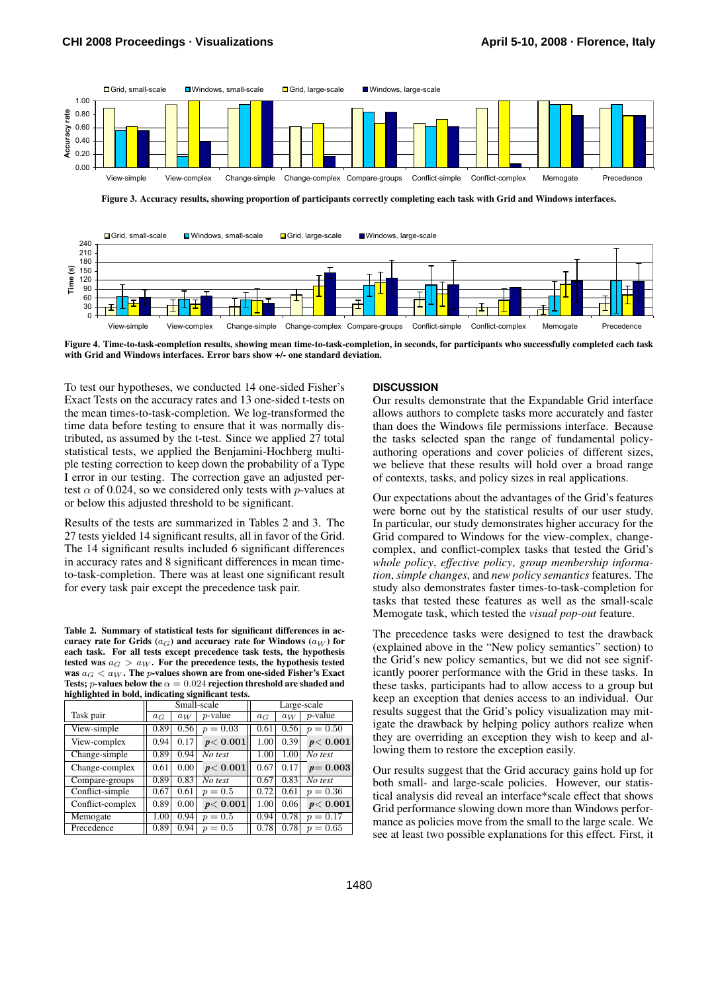

Figure 3. Accuracy results, showing proportion of participants correctly completing each task with Grid and Windows interfaces.



Figure 4. Time-to-task-completion results, showing mean time-to-task-completion, in seconds, for participants who successfully completed each task with Grid and Windows interfaces. Error bars show +/- one standard deviation.

To test our hypotheses, we conducted 14 one-sided Fisher's Exact Tests on the accuracy rates and 13 one-sided t-tests on the mean times-to-task-completion. We log-transformed the time data before testing to ensure that it was normally distributed, as assumed by the t-test. Since we applied 27 total statistical tests, we applied the Benjamini-Hochberg multiple testing correction to keep down the probability of a Type I error in our testing. The correction gave an adjusted pertest  $\alpha$  of 0.024, so we considered only tests with *p*-values at or below this adjusted threshold to be significant.

Results of the tests are summarized in Tables 2 and 3. The 27 tests yielded 14 significant results, all in favor of the Grid. The 14 significant results included 6 significant differences in accuracy rates and 8 significant differences in mean timeto-task-completion. There was at least one significant result for every task pair except the precedence task pair.

Table 2. Summary of statistical tests for significant differences in accuracy rate for Grids  $(a_G)$  and accuracy rate for Windows  $(a_W)$  for each task. For all tests except precedence task tests, the hypothesis tested was  $a_G > a_W$ . For the precedence tests, the hypothesis tested was  $a_G < a_W$ . The *p*-values shown are from one-sided Fisher's Exact Tests; *p*-values below the  $\alpha = 0.024$  rejection threshold are shaded and highlighted in bold, indicating significant tests.

|                  | Small-scale |       |            | Large-scale |       |             |  |
|------------------|-------------|-------|------------|-------------|-------|-------------|--|
| Task pair        | $a_G$       | $a_W$ | $p$ -value | $a_G$       | $a_W$ | $p$ -value  |  |
| View-simple      | 0.89        | 0.56  | $p = 0.03$ | 0.61        | 0.56  | $p = 0.50$  |  |
| View-complex     | 0.94        | 0.17  | p < 0.001  | 1.00        | 0.39  | p < 0.001   |  |
| Change-simple    | 0.89        | 0.94  | No test    | 1.00        | 1.00  | No test     |  |
| Change-complex   | 0.61        | 0.00  | p < 0.001  | 0.67        | 0.17  | $p = 0.003$ |  |
| Compare-groups   | 0.89        | 0.83  | No test    | 0.67        | 0.83  | No test     |  |
| Conflict-simple  | 0.67        | 0.61  | $p = 0.5$  | 0.72        | 0.61  | $p = 0.36$  |  |
| Conflict-complex | 0.89        | 0.00  | p < 0.001  | 1.00        | 0.06  | p < 0.001   |  |
| Memogate         | 1.00        | 0.94  | $p=0.5$    | 0.94        | 0.78  | $p = 0.17$  |  |
| Precedence       | 0.89        | 0.94  | $p = 0.5$  | 0.78        | 0.78  | $p = 0.65$  |  |

#### **DISCUSSION**

Our results demonstrate that the Expandable Grid interface allows authors to complete tasks more accurately and faster than does the Windows file permissions interface. Because the tasks selected span the range of fundamental policyauthoring operations and cover policies of different sizes, we believe that these results will hold over a broad range of contexts, tasks, and policy sizes in real applications.

Our expectations about the advantages of the Grid's features were borne out by the statistical results of our user study. In particular, our study demonstrates higher accuracy for the Grid compared to Windows for the view-complex, changecomplex, and conflict-complex tasks that tested the Grid's *whole policy*, *effective policy*, *group membership information*, *simple changes*, and *new policy semantics* features. The study also demonstrates faster times-to-task-completion for tasks that tested these features as well as the small-scale Memogate task, which tested the *visual pop-out* feature.

The precedence tasks were designed to test the drawback (explained above in the "New policy semantics" section) to the Grid's new policy semantics, but we did not see significantly poorer performance with the Grid in these tasks. In these tasks, participants had to allow access to a group but keep an exception that denies access to an individual. Our results suggest that the Grid's policy visualization may mitigate the drawback by helping policy authors realize when they are overriding an exception they wish to keep and allowing them to restore the exception easily.

Our results suggest that the Grid accuracy gains hold up for both small- and large-scale policies. However, our statistical analysis did reveal an interface\*scale effect that shows Grid performance slowing down more than Windows performance as policies move from the small to the large scale. We see at least two possible explanations for this effect. First, it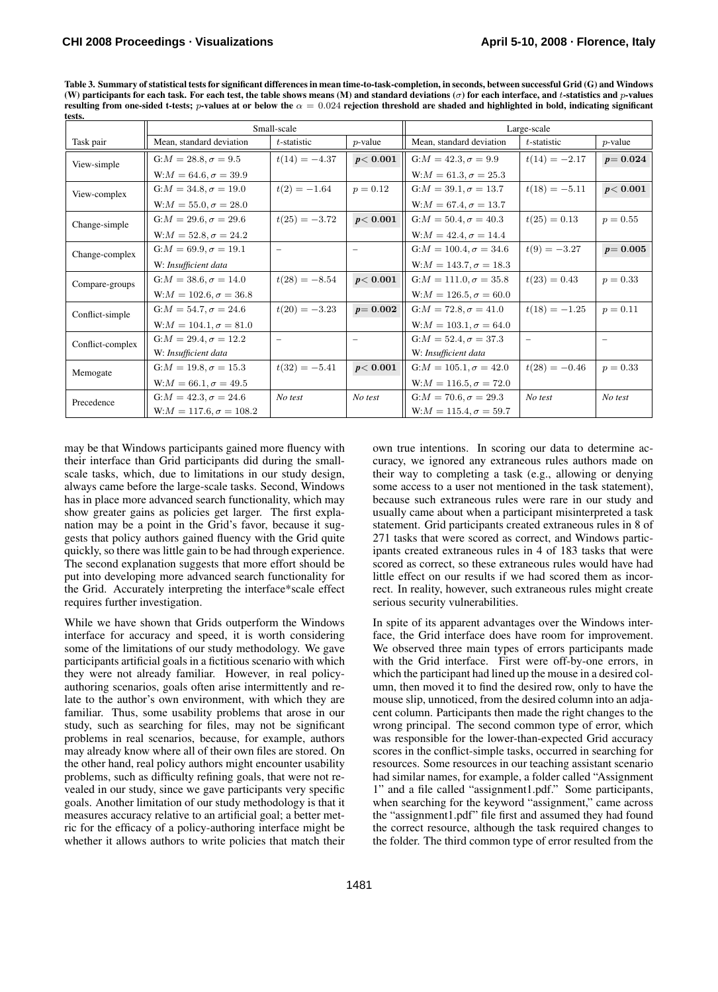| tests.           |                               |                   |                          |                               |                          |                   |  |
|------------------|-------------------------------|-------------------|--------------------------|-------------------------------|--------------------------|-------------------|--|
|                  | Small-scale                   |                   |                          | Large-scale                   |                          |                   |  |
| Task pair        | Mean, standard deviation      | t-statistic       | $p$ -value               | Mean, standard deviation      | t-statistic              | $p$ -value        |  |
| View-simple      | $G: M = 28.8, \sigma = 9.5$   | $t(14) = -4.37$   | p < 0.001                | $G: M = 42.3, \sigma = 9.9$   | $t(14) = -2.17$          | $p = 0.024$       |  |
|                  | $W:M = 64.6, \sigma = 39.9$   |                   |                          | $W:M = 61.3, \sigma = 25.3$   |                          |                   |  |
| View-complex     | $G: M = 34.8, \sigma = 19.0$  | $t(2) = -1.64$    | $p = 0.12$               | $G: M = 39.1, \sigma = 13.7$  | $t(18) = -5.11$          | p < 0.001         |  |
|                  | $W:M = 55.0, \sigma = 28.0$   |                   |                          | $W:M = 67.4, \sigma = 13.7$   |                          |                   |  |
| Change-simple    | $G: M = 29.6, \sigma = 29.6$  | $t(25) = -3.72$   | p < 0.001                | $G: M = 50.4, \sigma = 40.3$  | $t(25) = 0.13$           | $p = 0.55$        |  |
|                  | $W:M = 52.8, \sigma = 24.2$   |                   |                          | $W:M = 42.4, \sigma = 14.4$   |                          |                   |  |
| Change-complex   | $G: M = 69.9, \sigma = 19.1$  | $\qquad \qquad -$ | -                        | $G: M = 100.4, \sigma = 34.6$ | $t(9) = -3.27$           | $p = 0.005$       |  |
|                  | W: Insufficient data          |                   |                          | $W:M = 143.7, \sigma = 18.3$  |                          |                   |  |
| Compare-groups   | $G: M = 38.6, \sigma = 14.0$  | $t(28) = -8.54$   | p < 0.001                | $G: M = 111.0, \sigma = 35.8$ | $t(23) = 0.43$           | $p = 0.33$        |  |
|                  | $W:M = 102.6, \sigma = 36.8$  |                   |                          | $W:M = 126.5, \sigma = 60.0$  |                          |                   |  |
| Conflict-simple  | $G: M = 54.7, \sigma = 24.6$  | $t(20) = -3.23$   | $p = 0.002$              | $G: M = 72.8, \sigma = 41.0$  | $t(18) = -1.25$          | $p = 0.11$        |  |
|                  | $W:M = 104.1, \sigma = 81.0$  |                   |                          | $W:M = 103.1, \sigma = 64.0$  |                          |                   |  |
| Conflict-complex | $G: M = 29.4, \sigma = 12.2$  | $\qquad \qquad -$ | $\overline{\phantom{0}}$ | $G: M = 52.4, \sigma = 37.3$  | $\overline{\phantom{0}}$ | $\qquad \qquad -$ |  |
|                  | W: Insufficient data          |                   |                          | W: Insufficient data          |                          |                   |  |
| Memogate         | $G: M = 19.8, \sigma = 15.3$  | $t(32) = -5.41$   | p < 0.001                | $G: M = 105.1, \sigma = 42.0$ | $t(28) = -0.46$          | $p = 0.33$        |  |
|                  | $W:M = 66.1, \sigma = 49.5$   |                   |                          | $W:M = 116.5, \sigma = 72.0$  |                          |                   |  |
| Precedence       | $G: M = 42.3, \sigma = 24.6$  | No test           | No test                  | $G: M = 70.6, \sigma = 29.3$  | No test                  | No test           |  |
|                  | $W:M = 117.6, \sigma = 108.2$ |                   |                          | $W:M = 115.4, \sigma = 59.7$  |                          |                   |  |

Table 3. Summary of statistical tests for significant differences in mean time-to-task-completion, in seconds, between successful Grid (G) and Windows (W) participants for each task. For each test, the table shows means (M) and standard deviations ( $\sigma$ ) for each interface, and t-statistics and p-values resulting from one-sided t-tests; p-values at or below the  $\alpha = 0.024$  rejection threshold are shaded and highlighted in bold, indicating significant

may be that Windows participants gained more fluency with their interface than Grid participants did during the smallscale tasks, which, due to limitations in our study design, always came before the large-scale tasks. Second, Windows has in place more advanced search functionality, which may show greater gains as policies get larger. The first explanation may be a point in the Grid's favor, because it suggests that policy authors gained fluency with the Grid quite quickly, so there was little gain to be had through experience. The second explanation suggests that more effort should be put into developing more advanced search functionality for the Grid. Accurately interpreting the interface\*scale effect requires further investigation.

While we have shown that Grids outperform the Windows interface for accuracy and speed, it is worth considering some of the limitations of our study methodology. We gave participants artificial goals in a fictitious scenario with which they were not already familiar. However, in real policyauthoring scenarios, goals often arise intermittently and relate to the author's own environment, with which they are familiar. Thus, some usability problems that arose in our study, such as searching for files, may not be significant problems in real scenarios, because, for example, authors may already know where all of their own files are stored. On the other hand, real policy authors might encounter usability problems, such as difficulty refining goals, that were not revealed in our study, since we gave participants very specific goals. Another limitation of our study methodology is that it measures accuracy relative to an artificial goal; a better metric for the efficacy of a policy-authoring interface might be whether it allows authors to write policies that match their own true intentions. In scoring our data to determine accuracy, we ignored any extraneous rules authors made on their way to completing a task (e.g., allowing or denying some access to a user not mentioned in the task statement), because such extraneous rules were rare in our study and usually came about when a participant misinterpreted a task statement. Grid participants created extraneous rules in 8 of 271 tasks that were scored as correct, and Windows participants created extraneous rules in 4 of 183 tasks that were scored as correct, so these extraneous rules would have had little effect on our results if we had scored them as incorrect. In reality, however, such extraneous rules might create serious security vulnerabilities.

In spite of its apparent advantages over the Windows interface, the Grid interface does have room for improvement. We observed three main types of errors participants made with the Grid interface. First were off-by-one errors, in which the participant had lined up the mouse in a desired column, then moved it to find the desired row, only to have the mouse slip, unnoticed, from the desired column into an adjacent column. Participants then made the right changes to the wrong principal. The second common type of error, which was responsible for the lower-than-expected Grid accuracy scores in the conflict-simple tasks, occurred in searching for resources. Some resources in our teaching assistant scenario had similar names, for example, a folder called "Assignment 1" and a file called "assignment1.pdf." Some participants, when searching for the keyword "assignment," came across the "assignment1.pdf" file first and assumed they had found the correct resource, although the task required changes to the folder. The third common type of error resulted from the